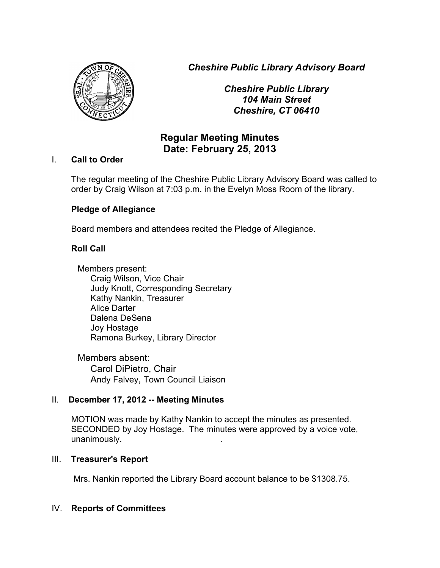*Cheshire Public Library Advisory Board*



*Cheshire Public Library 104 Main Street Cheshire, CT 06410*

# **Regular Meeting Minutes Date: February 25, 2013**

### I. **Call to Order**

The regular meeting of the Cheshire Public Library Advisory Board was called to order by Craig Wilson at 7:03 p.m. in the Evelyn Moss Room of the library.

## **Pledge of Allegiance**

Board members and attendees recited the Pledge of Allegiance.

# **Roll Call**

Members present: Craig Wilson, Vice Chair Judy Knott, Corresponding Secretary Kathy Nankin, Treasurer Alice Darter Dalena DeSena Joy Hostage Ramona Burkey, Library Director

Members absent: Carol DiPietro, Chair Andy Falvey, Town Council Liaison

# II. **December 17, 2012 -- Meeting Minutes**

MOTION was made by Kathy Nankin to accept the minutes as presented. SECONDED by Joy Hostage. The minutes were approved by a voice vote, unanimously. .

### III. **Treasurer's Report**

Mrs. Nankin reported the Library Board account balance to be \$1308.75.

### IV. **Reports of Committees**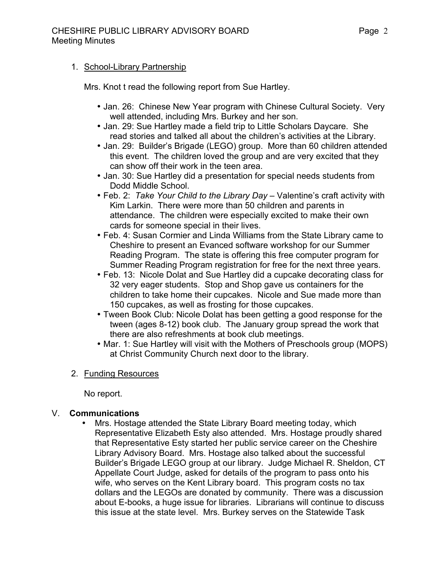#### 1. School-Library Partnership

Mrs. Knot t read the following report from Sue Hartley.

- Jan. 26: Chinese New Year program with Chinese Cultural Society. Very well attended, including Mrs. Burkey and her son.
- Jan. 29: Sue Hartley made a field trip to Little Scholars Daycare. She read stories and talked all about the children's activities at the Library.
- Jan. 29: Builder's Brigade (LEGO) group. More than 60 children attended this event. The children loved the group and are very excited that they can show off their work in the teen area.
- Jan. 30: Sue Hartley did a presentation for special needs students from Dodd Middle School.
- Feb. 2: *Take Your Child to the Library Day* Valentine's craft activity with Kim Larkin. There were more than 50 children and parents in attendance. The children were especially excited to make their own cards for someone special in their lives.
- Feb. 4: Susan Cormier and Linda Williams from the State Library came to Cheshire to present an Evanced software workshop for our Summer Reading Program. The state is offering this free computer program for Summer Reading Program registration for free for the next three years.
- Feb. 13: Nicole Dolat and Sue Hartley did a cupcake decorating class for 32 very eager students. Stop and Shop gave us containers for the children to take home their cupcakes. Nicole and Sue made more than 150 cupcakes, as well as frosting for those cupcakes.
- Tween Book Club: Nicole Dolat has been getting a good response for the tween (ages 8-12) book club. The January group spread the work that there are also refreshments at book club meetings.
- Mar. 1: Sue Hartley will visit with the Mothers of Preschools group (MOPS) at Christ Community Church next door to the library.

### 2. Funding Resources

No report.

### V. **Communications**

• Mrs. Hostage attended the State Library Board meeting today, which Representative Elizabeth Esty also attended. Mrs. Hostage proudly shared that Representative Esty started her public service career on the Cheshire Library Advisory Board. Mrs. Hostage also talked about the successful Builder's Brigade LEGO group at our library. Judge Michael R. Sheldon, CT Appellate Court Judge, asked for details of the program to pass onto his wife, who serves on the Kent Library board. This program costs no tax dollars and the LEGOs are donated by community. There was a discussion about E-books, a huge issue for libraries. Librarians will continue to discuss this issue at the state level. Mrs. Burkey serves on the Statewide Task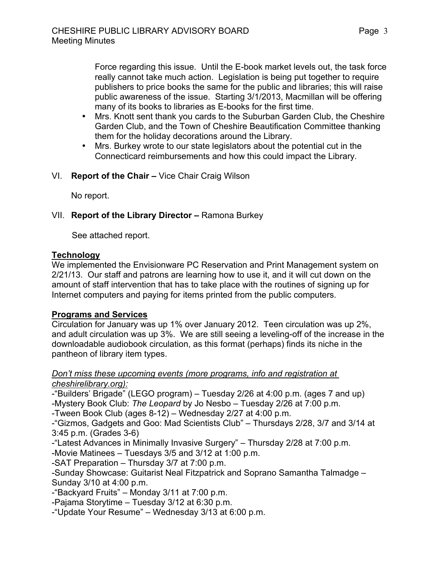Force regarding this issue. Until the E-book market levels out, the task force really cannot take much action. Legislation is being put together to require publishers to price books the same for the public and libraries; this will raise public awareness of the issue. Starting 3/1/2013, Macmillan will be offering many of its books to libraries as E-books for the first time.

- Mrs. Knott sent thank you cards to the Suburban Garden Club, the Cheshire Garden Club, and the Town of Cheshire Beautification Committee thanking them for the holiday decorations around the Library.
- Mrs. Burkey wrote to our state legislators about the potential cut in the Connecticard reimbursements and how this could impact the Library.
- VI. **Report of the Chair –** Vice Chair Craig Wilson

No report.

## VII. **Report of the Library Director –** Ramona Burkey

See attached report.

### **Technology**

We implemented the Envisionware PC Reservation and Print Management system on 2/21/13. Our staff and patrons are learning how to use it, and it will cut down on the amount of staff intervention that has to take place with the routines of signing up for Internet computers and paying for items printed from the public computers.

# **Programs and Services**

Circulation for January was up 1% over January 2012. Teen circulation was up 2%, and adult circulation was up 3%. We are still seeing a leveling-off of the increase in the downloadable audiobook circulation, as this format (perhaps) finds its niche in the pantheon of library item types.

#### *Don't miss these upcoming events (more programs, info and registration at cheshirelibrary.org):*

-"Builders' Brigade" (LEGO program) – Tuesday 2/26 at 4:00 p.m. (ages 7 and up) -Mystery Book Club: *The Leopard* by Jo Nesbo – Tuesday 2/26 at 7:00 p.m.

-Tween Book Club (ages 8-12) – Wednesday 2/27 at 4:00 p.m.

-"Gizmos, Gadgets and Goo: Mad Scientists Club" – Thursdays 2/28, 3/7 and 3/14 at 3:45 p.m. (Grades 3-6)

-"Latest Advances in Minimally Invasive Surgery" – Thursday 2/28 at 7:00 p.m.

-Movie Matinees – Tuesdays 3/5 and 3/12 at 1:00 p.m.

-SAT Preparation – Thursday 3/7 at 7:00 p.m.

-Sunday Showcase: Guitarist Neal Fitzpatrick and Soprano Samantha Talmadge – Sunday 3/10 at 4:00 p.m.

-"Backyard Fruits" – Monday 3/11 at 7:00 p.m.

-Pajama Storytime – Tuesday 3/12 at 6:30 p.m.

-"Update Your Resume" – Wednesday 3/13 at 6:00 p.m.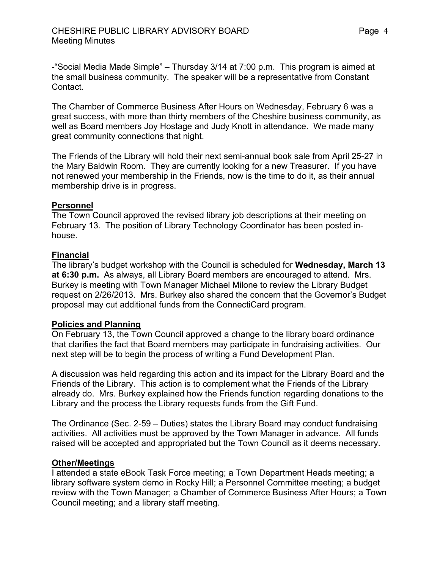-"Social Media Made Simple" – Thursday 3/14 at 7:00 p.m. This program is aimed at the small business community. The speaker will be a representative from Constant Contact.

The Chamber of Commerce Business After Hours on Wednesday, February 6 was a great success, with more than thirty members of the Cheshire business community, as well as Board members Joy Hostage and Judy Knott in attendance. We made many great community connections that night.

The Friends of the Library will hold their next semi-annual book sale from April 25-27 in the Mary Baldwin Room. They are currently looking for a new Treasurer. If you have not renewed your membership in the Friends, now is the time to do it, as their annual membership drive is in progress.

#### **Personnel**

The Town Council approved the revised library job descriptions at their meeting on February 13. The position of Library Technology Coordinator has been posted inhouse.

#### **Financial**

The library's budget workshop with the Council is scheduled for **Wednesday, March 13 at 6:30 p.m.** As always, all Library Board members are encouraged to attend. Mrs. Burkey is meeting with Town Manager Michael Milone to review the Library Budget request on 2/26/2013. Mrs. Burkey also shared the concern that the Governor's Budget proposal may cut additional funds from the ConnectiCard program.

### **Policies and Planning**

On February 13, the Town Council approved a change to the library board ordinance that clarifies the fact that Board members may participate in fundraising activities. Our next step will be to begin the process of writing a Fund Development Plan.

A discussion was held regarding this action and its impact for the Library Board and the Friends of the Library. This action is to complement what the Friends of the Library already do. Mrs. Burkey explained how the Friends function regarding donations to the Library and the process the Library requests funds from the Gift Fund.

The Ordinance (Sec. 2-59 – Duties) states the Library Board may conduct fundraising activities. All activities must be approved by the Town Manager in advance. All funds raised will be accepted and appropriated but the Town Council as it deems necessary.

#### **Other/Meetings**

I attended a state eBook Task Force meeting; a Town Department Heads meeting; a library software system demo in Rocky Hill; a Personnel Committee meeting; a budget review with the Town Manager; a Chamber of Commerce Business After Hours; a Town Council meeting; and a library staff meeting.